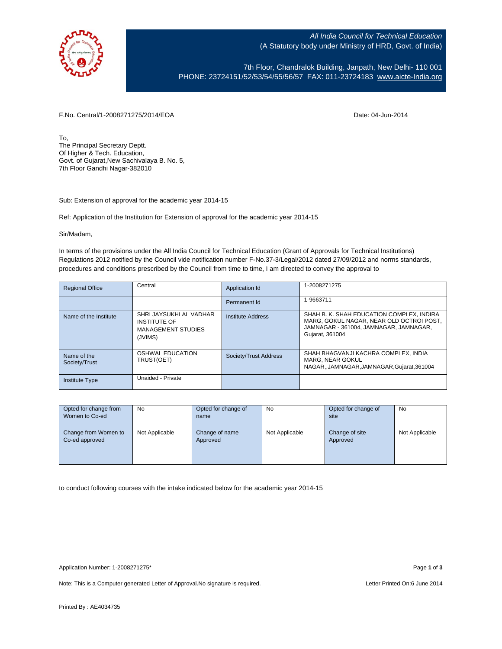

All India Council for Technical Education (A Statutory body under Ministry of HRD, Govt. of India)

7th Floor, Chandralok Building, Janpath, New Delhi- 110 001 PHONE: 23724151/52/53/54/55/56/57 FAX: 011-23724183 [www.aicte-India.org](http://www.aicte-india.org/)

F.No. Central/1-2008271275/2014/EOA Date: 04-Jun-2014

To, The Principal Secretary Deptt. Of Higher & Tech. Education, Govt. of Gujarat,New Sachivalaya B. No. 5, 7th Floor Gandhi Nagar-382010

Sub: Extension of approval for the academic year 2014-15

Ref: Application of the Institution for Extension of approval for the academic year 2014-15

Sir/Madam,

In terms of the provisions under the All India Council for Technical Education (Grant of Approvals for Technical Institutions) Regulations 2012 notified by the Council vide notification number F-No.37-3/Legal/2012 dated 27/09/2012 and norms standards, procedures and conditions prescribed by the Council from time to time, I am directed to convey the approval to

| <b>Regional Office</b>       | Central                                                                               | Application Id        | 1-2008271275                                                                                                                                       |
|------------------------------|---------------------------------------------------------------------------------------|-----------------------|----------------------------------------------------------------------------------------------------------------------------------------------------|
|                              |                                                                                       | Permanent Id          | 1-9663711                                                                                                                                          |
| Name of the Institute        | SHRI JAYSUKHLAL VADHAR<br><b>INSTITUTE OF</b><br><b>MANAGEMENT STUDIES</b><br>(JVIMS) | Institute Address     | SHAH B. K. SHAH EDUCATION COMPLEX. INDIRA<br>MARG. GOKUL NAGAR. NEAR OLD OCTROI POST.<br>JAMNAGAR - 361004. JAMNAGAR. JAMNAGAR.<br>Gujarat, 361004 |
| Name of the<br>Society/Trust | OSHWAL EDUCATION<br>TRUST(OET)                                                        | Society/Trust Address | SHAH BHAGVANJI KACHRA COMPLEX, INDIA<br>MARG. NEAR GOKUL<br>NAGAR, JAMNAGAR, JAMNAGAR, Gujarat, 361004                                             |
| <b>Institute Type</b>        | Unaided - Private                                                                     |                       |                                                                                                                                                    |

| Opted for change from<br>Women to Co-ed | <b>No</b>      | Opted for change of<br>name | No             | Opted for change of<br>site | No             |
|-----------------------------------------|----------------|-----------------------------|----------------|-----------------------------|----------------|
| Change from Women to<br>Co-ed approved  | Not Applicable | Change of name<br>Approved  | Not Applicable | Change of site<br>Approved  | Not Applicable |

to conduct following courses with the intake indicated below for the academic year 2014-15

Note: This is a Computer generated Letter of Approval. No signature is required. Letter Printed On:6 June 2014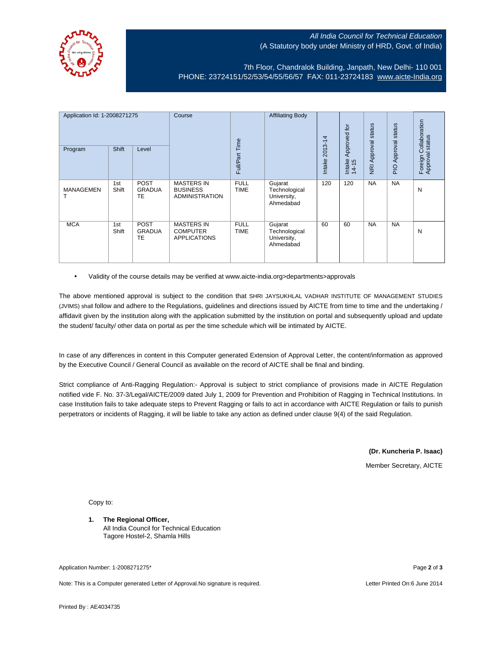

## All India Council for Technical Education (A Statutory body under Ministry of HRD, Govt. of India)

7th Floor, Chandralok Building, Janpath, New Delhi- 110 001 PHONE: 23724151/52/53/54/55/56/57 FAX: 011-23724183 [www.aicte-India.org](http://www.aicte-india.org/)

| Application Id: 1-2008271275 |              | Course                      |                                                               | <b>Affiliating Body</b>    |                                                      | Approved for      | status          | status                     | ollaboration<br>status |                              |
|------------------------------|--------------|-----------------------------|---------------------------------------------------------------|----------------------------|------------------------------------------------------|-------------------|-----------------|----------------------------|------------------------|------------------------------|
| Program                      | <b>Shift</b> | Level                       |                                                               | Full/Part Time             |                                                      | 2013-14<br>Intake | Intake<br>14-15 | Approval<br>$\overline{g}$ | Approval<br><b>DI</b>  | ပ<br>Foreign C<br>Approval s |
| <b>MANAGEMEN</b>             | 1st<br>Shift | POST<br><b>GRADUA</b><br>TE | <b>MASTERS IN</b><br><b>BUSINESS</b><br><b>ADMINISTRATION</b> | <b>FULL</b><br><b>TIME</b> | Gujarat<br>Technological<br>University,<br>Ahmedabad | 120               | 120             | <b>NA</b>                  | <b>NA</b>              | N                            |
| <b>MCA</b>                   | 1st<br>Shift | POST<br><b>GRADUA</b><br>TE | <b>MASTERS IN</b><br><b>COMPUTER</b><br><b>APPLICATIONS</b>   | <b>FULL</b><br><b>TIME</b> | Gujarat<br>Technological<br>University,<br>Ahmedabad | 60                | 60              | <b>NA</b>                  | <b>NA</b>              | N                            |

• Validity of the course details may be verified at www.aicte-india.org>departments>approvals

The above mentioned approval is subject to the condition that SHRI JAYSUKHLAL VADHAR INSTITUTE OF MANAGEMENT STUDIES (JVIMS) shall follow and adhere to the Regulations, guidelines and directions issued by AICTE from time to time and the undertaking / affidavit given by the institution along with the application submitted by the institution on portal and subsequently upload and update the student/ faculty/ other data on portal as per the time schedule which will be intimated by AICTE.

In case of any differences in content in this Computer generated Extension of Approval Letter, the content/information as approved by the Executive Council / General Council as available on the record of AICTE shall be final and binding.

Strict compliance of Anti-Ragging Regulation:- Approval is subject to strict compliance of provisions made in AICTE Regulation notified vide F. No. 37-3/Legal/AICTE/2009 dated July 1, 2009 for Prevention and Prohibition of Ragging in Technical Institutions. In case Institution fails to take adequate steps to Prevent Ragging or fails to act in accordance with AICTE Regulation or fails to punish perpetrators or incidents of Ragging, it will be liable to take any action as defined under clause 9(4) of the said Regulation.

**(Dr. Kuncheria P. Isaac)**

Member Secretary, AICTE

Copy to:

**1. The Regional Officer,** All India Council for Technical Education Tagore Hostel-2, Shamla Hills

Application Number: 1-2008271275\* Page **2** of **3**

Note: This is a Computer generated Letter of Approval.No signature is required. Letter Printed On:6 June 2014